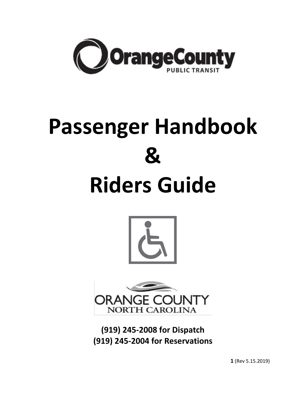

# **Passenger Handbook & Riders Guide**





**(919) 245-2008 for Dispatch (919) 245-2004 for Reservations**

**1** (Rev 5.15.2019)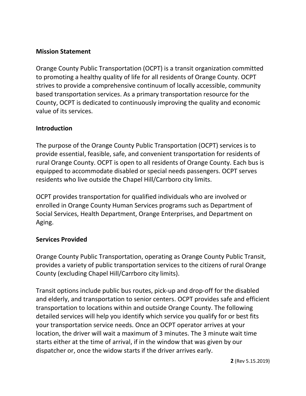## **Mission Statement**

Orange County Public Transportation (OCPT) is a transit organization committed to promoting a healthy quality of life for all residents of Orange County. OCPT strives to provide a comprehensive continuum of locally accessible, community based transportation services. As a primary transportation resource for the County, OCPT is dedicated to continuously improving the quality and economic value of its services.

## **Introduction**

The purpose of the Orange County Public Transportation (OCPT) services is to provide essential, feasible, safe, and convenient transportation for residents of rural Orange County. OCPT is open to all residents of Orange County. Each bus is equipped to accommodate disabled or special needs passengers. OCPT serves residents who live outside the Chapel Hill/Carrboro city limits.

OCPT provides transportation for qualified individuals who are involved or enrolled in Orange County Human Services programs such as Department of Social Services, Health Department, Orange Enterprises, and Department on Aging.

## **Services Provided**

Orange County Public Transportation, operating as Orange County Public Transit, provides a variety of public transportation services to the citizens of rural Orange County (excluding Chapel Hill/Carrboro city limits).

Transit options include public bus routes, pick-up and drop-off for the disabled and elderly, and transportation to senior centers. OCPT provides safe and efficient transportation to locations within and outside Orange County. The following detailed services will help you identify which service you qualify for or best fits your transportation service needs. Once an OCPT operator arrives at your location, the driver will wait a maximum of 3 minutes. The 3 minute wait time starts either at the time of arrival, if in the window that was given by our dispatcher or, once the widow starts if the driver arrives early.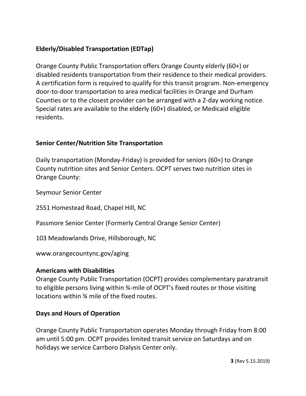# **Elderly/Disabled Transportation (EDTap)**

Orange County Public Transportation offers Orange County elderly (60+) or disabled residents transportation from their residence to their medical providers. A certification form is required to qualify for this transit program. Non-emergency door-to-door transportation to area medical facilities in Orange and Durham Counties or to the closest provider can be arranged with a 2-day working notice. Special rates are available to the elderly (60+) disabled, or Medicaid eligible residents.

## **Senior Center/Nutrition Site Transportation**

Daily transportation (Monday-Friday) is provided for seniors (60+) to Orange County nutrition sites and Senior Centers. OCPT serves two nutrition sites in Orange County:

Seymour Senior Center

2551 Homestead Road, Chapel Hill, NC

Passmore Senior Center (Formerly Central Orange Senior Center)

103 Meadowlands Drive, Hillsborough, NC

www.orangecountync.gov/aging

## **Americans with Disabilities**

Orange County Public Transportation (OCPT) provides complementary paratransit to eligible persons living within ¾-mile of OCPT's fixed routes or those visiting locations within ¾ mile of the fixed routes.

## **Days and Hours of Operation**

Orange County Public Transportation operates Monday through Friday from 8:00 am until 5:00 pm. OCPT provides limited transit service on Saturdays and on holidays we service Carrboro Dialysis Center only.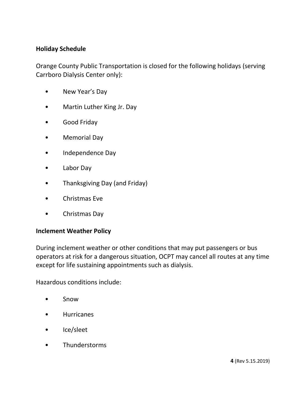#### **Holiday Schedule**

Orange County Public Transportation is closed for the following holidays (serving Carrboro Dialysis Center only):

- New Year's Day
- Martin Luther King Jr. Day
- Good Friday
- Memorial Day
- Independence Day
- Labor Day
- Thanksgiving Day (and Friday)
- Christmas Eve
- Christmas Day

#### **Inclement Weather Policy**

During inclement weather or other conditions that may put passengers or bus operators at risk for a dangerous situation, OCPT may cancel all routes at any time except for life sustaining appointments such as dialysis.

Hazardous conditions include:

- Snow
- Hurricanes
- Ice/sleet
- Thunderstorms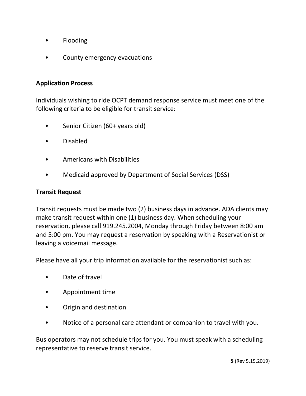- Flooding
- County emergency evacuations

#### **Application Process**

Individuals wishing to ride OCPT demand response service must meet one of the following criteria to be eligible for transit service:

- Senior Citizen (60+ years old)
- Disabled
- Americans with Disabilities
- Medicaid approved by Department of Social Services (DSS)

#### **Transit Request**

Transit requests must be made two (2) business days in advance. ADA clients may make transit request within one (1) business day. When scheduling your reservation, please call 919.245.2004, Monday through Friday between 8:00 am and 5:00 pm. You may request a reservation by speaking with a Reservationist or leaving a voicemail message.

Please have all your trip information available for the reservationist such as:

- Date of travel
- Appointment time
- Origin and destination
- Notice of a personal care attendant or companion to travel with you.

Bus operators may not schedule trips for you. You must speak with a scheduling representative to reserve transit service.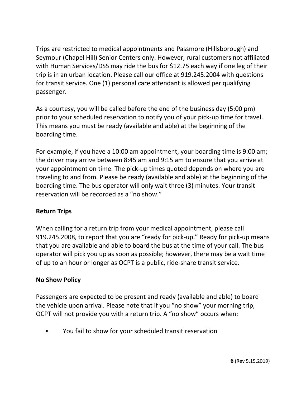Trips are restricted to medical appointments and Passmore (Hillsborough) and Seymour (Chapel Hill) Senior Centers only. However, rural customers not affiliated with Human Services/DSS may ride the bus for \$12.75 each way if one leg of their trip is in an urban location. Please call our office at 919.245.2004 with questions for transit service. One (1) personal care attendant is allowed per qualifying passenger.

As a courtesy, you will be called before the end of the business day (5:00 pm) prior to your scheduled reservation to notify you of your pick-up time for travel. This means you must be ready (available and able) at the beginning of the boarding time.

For example, if you have a 10:00 am appointment, your boarding time is 9:00 am; the driver may arrive between 8:45 am and 9:15 am to ensure that you arrive at your appointment on time. The pick-up times quoted depends on where you are traveling to and from. Please be ready (available and able) at the beginning of the boarding time. The bus operator will only wait three (3) minutes. Your transit reservation will be recorded as a "no show."

# **Return Trips**

When calling for a return trip from your medical appointment, please call 919.245.2008, to report that you are "ready for pick-up." Ready for pick-up means that you are available and able to board the bus at the time of your call. The bus operator will pick you up as soon as possible; however, there may be a wait time of up to an hour or longer as OCPT is a public, ride-share transit service.

# **No Show Policy**

Passengers are expected to be present and ready (available and able) to board the vehicle upon arrival. Please note that if you "no show" your morning trip, OCPT will not provide you with a return trip. A "no show" occurs when:

• You fail to show for your scheduled transit reservation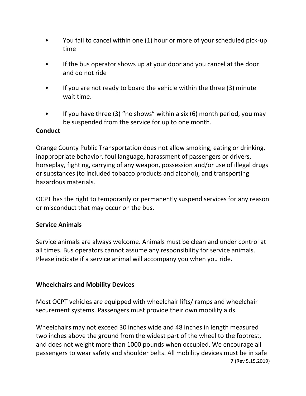- You fail to cancel within one (1) hour or more of your scheduled pick-up time
- If the bus operator shows up at your door and you cancel at the door and do not ride
- If you are not ready to board the vehicle within the three (3) minute wait time.
- If you have three (3) "no shows" within a six (6) month period, you may be suspended from the service for up to one month.

## **Conduct**

Orange County Public Transportation does not allow smoking, eating or drinking, inappropriate behavior, foul language, harassment of passengers or drivers, horseplay, fighting, carrying of any weapon, possession and/or use of illegal drugs or substances (to included tobacco products and alcohol), and transporting hazardous materials.

OCPT has the right to temporarily or permanently suspend services for any reason or misconduct that may occur on the bus.

# **Service Animals**

Service animals are always welcome. Animals must be clean and under control at all times. Bus operators cannot assume any responsibility for service animals. Please indicate if a service animal will accompany you when you ride.

## **Wheelchairs and Mobility Devices**

Most OCPT vehicles are equipped with wheelchair lifts/ ramps and wheelchair securement systems. Passengers must provide their own mobility aids.

**7** (Rev 5.15.2019) Wheelchairs may not exceed 30 inches wide and 48 inches in length measured two inches above the ground from the widest part of the wheel to the footrest, and does not weight more than 1000 pounds when occupied. We encourage all passengers to wear safety and shoulder belts. All mobility devices must be in safe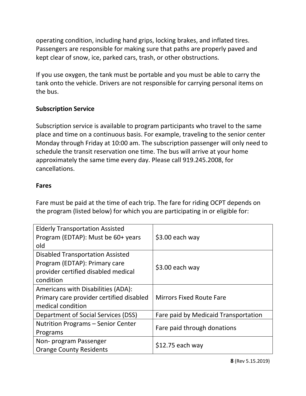operating condition, including hand grips, locking brakes, and inflated tires. Passengers are responsible for making sure that paths are properly paved and kept clear of snow, ice, parked cars, trash, or other obstructions.

If you use oxygen, the tank must be portable and you must be able to carry the tank onto the vehicle. Drivers are not responsible for carrying personal items on the bus.

## **Subscription Service**

Subscription service is available to program participants who travel to the same place and time on a continuous basis. For example, traveling to the senior center Monday through Friday at 10:00 am. The subscription passenger will only need to schedule the transit reservation one time. The bus will arrive at your home approximately the same time every day. Please call 919.245.2008, for cancellations.

## **Fares**

Fare must be paid at the time of each trip. The fare for riding OCPT depends on the program (listed below) for which you are participating in or eligible for:

| <b>Elderly Transportation Assisted</b><br>Program (EDTAP): Must be 60+ years<br>old                                          | \$3.00 each way                      |
|------------------------------------------------------------------------------------------------------------------------------|--------------------------------------|
| <b>Disabled Transportation Assisted</b><br>Program (EDTAP): Primary care<br>provider certified disabled medical<br>condition | $$3.00$ each way                     |
| Americans with Disabilities (ADA):<br>Primary care provider certified disabled<br>medical condition                          | <b>Mirrors Fixed Route Fare</b>      |
| Department of Social Services (DSS)                                                                                          | Fare paid by Medicaid Transportation |
| Nutrition Programs - Senior Center<br>Programs                                                                               | Fare paid through donations          |
| Non- program Passenger<br><b>Orange County Residents</b>                                                                     | $$12.75$ each way                    |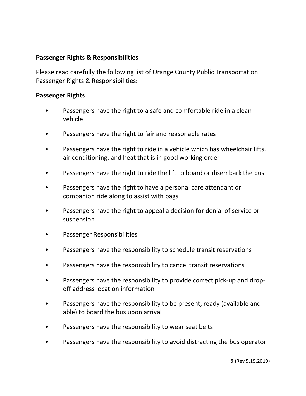## **Passenger Rights & Responsibilities**

Please read carefully the following list of Orange County Public Transportation Passenger Rights & Responsibilities:

#### **Passenger Rights**

- Passengers have the right to a safe and comfortable ride in a clean vehicle
- Passengers have the right to fair and reasonable rates
- Passengers have the right to ride in a vehicle which has wheelchair lifts, air conditioning, and heat that is in good working order
- Passengers have the right to ride the lift to board or disembark the bus
- Passengers have the right to have a personal care attendant or companion ride along to assist with bags
- Passengers have the right to appeal a decision for denial of service or suspension
- Passenger Responsibilities
- Passengers have the responsibility to schedule transit reservations
- Passengers have the responsibility to cancel transit reservations
- Passengers have the responsibility to provide correct pick-up and dropoff address location information
- Passengers have the responsibility to be present, ready (available and able) to board the bus upon arrival
- Passengers have the responsibility to wear seat belts
- Passengers have the responsibility to avoid distracting the bus operator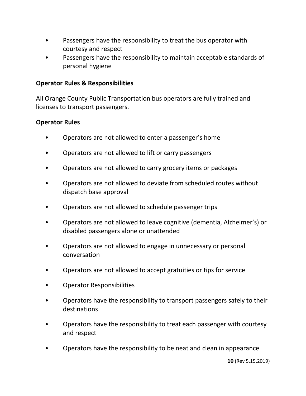- Passengers have the responsibility to treat the bus operator with courtesy and respect
- Passengers have the responsibility to maintain acceptable standards of personal hygiene

#### **Operator Rules & Responsibilities**

All Orange County Public Transportation bus operators are fully trained and licenses to transport passengers.

#### **Operator Rules**

- Operators are not allowed to enter a passenger's home
- Operators are not allowed to lift or carry passengers
- Operators are not allowed to carry grocery items or packages
- Operators are not allowed to deviate from scheduled routes without dispatch base approval
- Operators are not allowed to schedule passenger trips
- Operators are not allowed to leave cognitive (dementia, Alzheimer's) or disabled passengers alone or unattended
- Operators are not allowed to engage in unnecessary or personal conversation
- Operators are not allowed to accept gratuities or tips for service
- Operator Responsibilities
- Operators have the responsibility to transport passengers safely to their destinations
- Operators have the responsibility to treat each passenger with courtesy and respect
- Operators have the responsibility to be neat and clean in appearance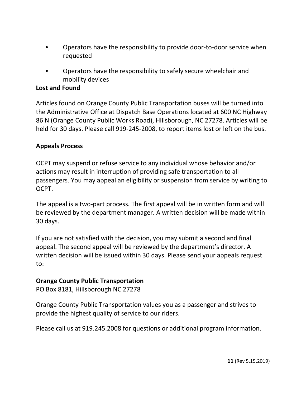- Operators have the responsibility to provide door-to-door service when requested
- Operators have the responsibility to safely secure wheelchair and mobility devices

#### **Lost and Found**

Articles found on Orange County Public Transportation buses will be turned into the Administrative Office at Dispatch Base Operations located at 600 NC Highway 86 N (Orange County Public Works Road), Hillsborough, NC 27278. Articles will be held for 30 days. Please call 919-245-2008, to report items lost or left on the bus.

#### **Appeals Process**

OCPT may suspend or refuse service to any individual whose behavior and/or actions may result in interruption of providing safe transportation to all passengers. You may appeal an eligibility or suspension from service by writing to OCPT.

The appeal is a two-part process. The first appeal will be in written form and will be reviewed by the department manager. A written decision will be made within 30 days.

If you are not satisfied with the decision, you may submit a second and final appeal. The second appeal will be reviewed by the department's director. A written decision will be issued within 30 days. Please send your appeals request to:

#### **Orange County Public Transportation**

PO Box 8181, Hillsborough NC 27278

Orange County Public Transportation values you as a passenger and strives to provide the highest quality of service to our riders.

Please call us at 919.245.2008 for questions or additional program information.